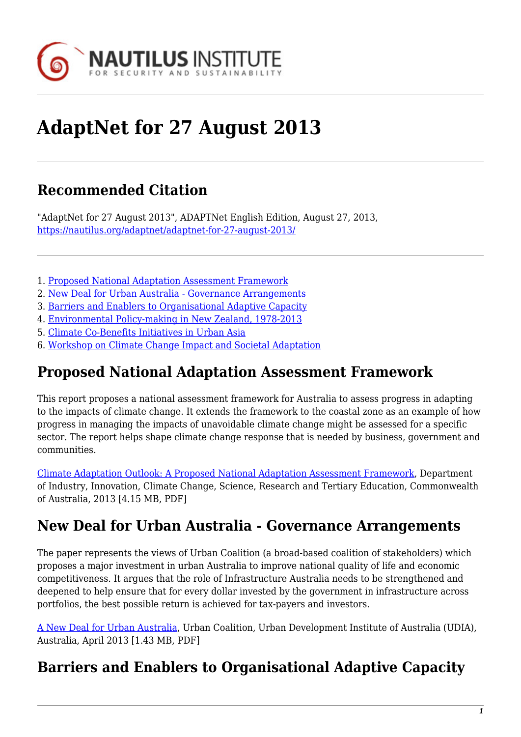

# **AdaptNet for 27 August 2013**

## **Recommended Citation**

"AdaptNet for 27 August 2013", ADAPTNet English Edition, August 27, 2013, <https://nautilus.org/adaptnet/adaptnet-for-27-august-2013/>

- 1. [Proposed National Adaptation Assessment Framework](#page-0-0)
- 2. [New Deal for Urban Australia Governance Arrangements](#page-0-1)
- 3. [Barriers and Enablers to Organisational Adaptive Capacity](#page-0-2)
- 4. [Environmental Policy-making in New Zealand, 1978-2013](#page-1-0)
- 5. [Climate Co-Benefits Initiatives in Urban Asia](#page-1-1)
- 6. [Workshop on Climate Change Impact and Societal Adaptation](#page-1-2)

### <span id="page-0-0"></span>**Proposed National Adaptation Assessment Framework**

This report proposes a national assessment framework for Australia to assess progress in adapting to the impacts of climate change. It extends the framework to the coastal zone as an example of how progress in managing the impacts of unavoidable climate change might be assessed for a specific sector. The report helps shape climate change response that is needed by business, government and communities.

[Climate Adaptation Outlook: A Proposed National Adaptation Assessment Framework,](http://www.climatechange.gov.au/sites/climatechange/files/documents/06_2013/climate-adaptation-outlook.pdf) Department of Industry, Innovation, Climate Change, Science, Research and Tertiary Education, Commonwealth of Australia, 2013 [4.15 MB, PDF]

### <span id="page-0-1"></span>**New Deal for Urban Australia - Governance Arrangements**

The paper represents the views of Urban Coalition (a broad-based coalition of stakeholders) which proposes a major investment in urban Australia to improve national quality of life and economic competitiveness. It argues that the role of Infrastructure Australia needs to be strengthened and deepened to help ensure that for every dollar invested by the government in infrastructure across portfolios, the best possible return is achieved for tax-payers and investors.

[A New Deal for Urban Australia,](http://www.acfonline.org.au/sites/default/files/resources/ACF_A_New_Deal_for_Urban_Australia_report.pdf) Urban Coalition, Urban Development Institute of Australia (UDIA), Australia, April 2013 [1.43 MB, PDF]

### <span id="page-0-2"></span>**Barriers and Enablers to Organisational Adaptive Capacity**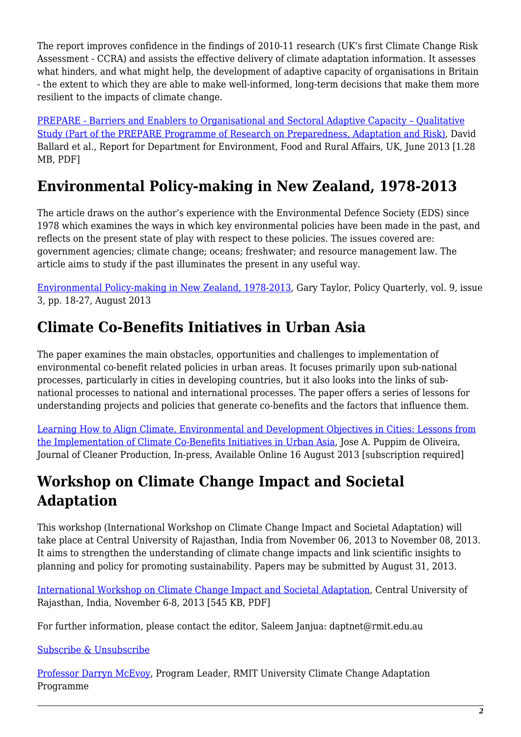The report improves confidence in the findings of 2010-11 research (UK's first Climate Change Risk Assessment - CCRA) and assists the effective delivery of climate adaptation information. It assesses what hinders, and what might help, the development of adaptive capacity of organisations in Britain - the extent to which they are able to make well-informed, long-term decisions that make them more resilient to the impacts of climate change.

[PREPARE - Barriers and Enablers to Organisational and Sectoral Adaptive Capacity – Qualitative](http://randd.defra.gov.uk/Document.aspx?Document=11256_PREPARECA0513Organisationaladaptivecapacity-Finalreport.pdf) [Study \(Part of the PREPARE Programme of Research on Preparedness, Adaptation and Risk\),](http://randd.defra.gov.uk/Document.aspx?Document=11256_PREPARECA0513Organisationaladaptivecapacity-Finalreport.pdf) David Ballard et al., Report for Department for Environment, Food and Rural Affairs, UK, June 2013 [1.28 MB, PDF]

# <span id="page-1-0"></span>**Environmental Policy-making in New Zealand, 1978-2013**

The article draws on the author's experience with the Environmental Defence Society (EDS) since 1978 which examines the ways in which key environmental policies have been made in the past, and reflects on the present state of play with respect to these policies. The issues covered are: government agencies; climate change; oceans; freshwater; and resource management law. The article aims to study if the past illuminates the present in any useful way.

[Environmental Policy-making in New Zealand, 1978-2013,](http://igps.victoria.ac.nz/publications/files/35b01ecc1df.pdf) Gary Taylor, Policy Quarterly, vol. 9, issue 3, pp. 18-27, August 2013

# <span id="page-1-1"></span>**Climate Co-Benefits Initiatives in Urban Asia**

The paper examines the main obstacles, opportunities and challenges to implementation of environmental co-benefit related policies in urban areas. It focuses primarily upon sub-national processes, particularly in cities in developing countries, but it also looks into the links of subnational processes to national and international processes. The paper offers a series of lessons for understanding projects and policies that generate co-benefits and the factors that influence them.

[Learning How to Align Climate, Environmental and Development Objectives in Cities: Lessons from](http://www.sciencedirect.com/science/article/pii/S0959652613005313) [the Implementation of Climate Co-Benefits Initiatives in Urban Asia,](http://www.sciencedirect.com/science/article/pii/S0959652613005313) Jose A. Puppim de Oliveira, Journal of Cleaner Production, In-press, Available Online 16 August 2013 [subscription required]

# <span id="page-1-2"></span>**Workshop on Climate Change Impact and Societal Adaptation**

This workshop (International Workshop on Climate Change Impact and Societal Adaptation) will take place at Central University of Rajasthan, India from November 06, 2013 to November 08, 2013. It aims to strengthen the understanding of climate change impacts and link scientific insights to planning and policy for promoting sustainability. Papers may be submitted by August 31, 2013.

[International Workshop on Climate Change Impact and Societal Adaptation,](http://www.apan-gan.net/sites/default/files/event/attach/CURAJ_SMHI_Workshop.pdf) Central University of Rajasthan, India, November 6-8, 2013 [545 KB, PDF]

For further information, please contact the editor, Saleem Janjua: daptnet@rmit.edu.au

#### [Subscribe & Unsubscribe](http://www.nautilus.org/mailing-lists/sign-up-for-mailing-lists)

[Professor Darryn McEvoy,](http://www.rmit.edu.au/staff/darrynmcevoy) Program Leader, RMIT University Climate Change Adaptation Programme